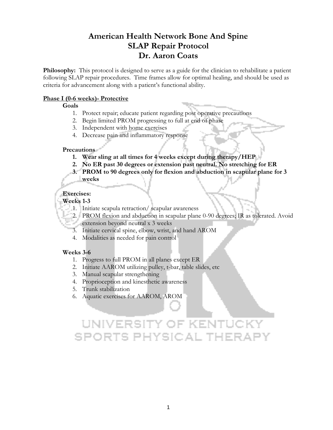# **American Health Network Bone And Spine SLAP Repair Protocol Dr. Aaron Coats**

**Philosophy:** This protocol is designed to serve as a guide for the clinician to rehabilitate a patient following SLAP repair procedures. Time frames allow for optimal healing, and should be used as criteria for advancement along with a patient's functional ability.

#### **Phase I (0-6 weeks)- Protective**

#### **Goals**

- 1. Protect repair; educate patient regarding post operative precautions
- 2. Begin limited PROM progressing to full at end of phase
- 3. Independent with home exercises
- 4. Decrease pain and inflammatory response

#### **Precautions**

- **1. Wear sling at all times for 4 weeks except during therapy/HEP**
- **2. No ER past 30 degrees or extension past neutral. No stretching for ER**
- **3. PROM to 90 degrees only for flexion and abduction in scapular plane for 3 weeks**

# **Exercises:**

### **Weeks 1-3**

- 1. Initiate scapula retraction/ scapular awareness
- 2. PROM flexion and abduction in scapular plane 0-90 degrees; IR as tolerated. Avoid extension beyond neutral x 3 weeks
- 3. Initiate cervical spine, elbow, wrist, and hand AROM
- 4. Modalities as needed for pain control

#### **Weeks 3-6**

- 1. Progress to full PROM in all planes except ER
- 2. Initiate AAROM utilizing pulley, t-bar, table slides, etc
- 3. Manual scapular strengthening
- 4. Proprioception and kinesthetic awareness
- 5. Trunk stabilization
- 6. Aquatic exercises for AAROM, AROM

# UNIVERSITY OF KENTUCKY SPORTS PHYSICAL THERAPY